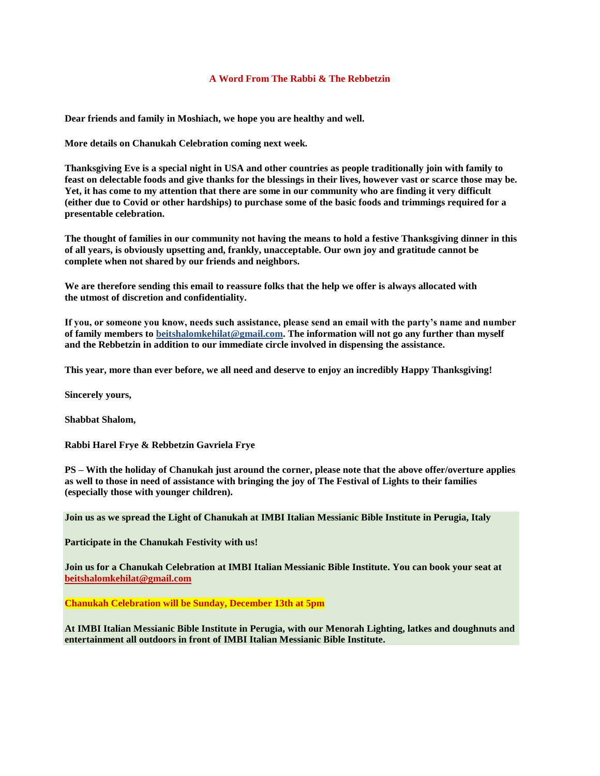## **A Word From The Rabbi & The Rebbetzin**

**Dear friends and family in Moshiach, we hope you are healthy and well.**

**More details on Chanukah Celebration coming next week.**

**Thanksgiving Eve is a special night in USA and other countries as people traditionally join with family to feast on delectable foods and give thanks for the blessings in their lives, however vast or scarce those may be. Yet, it has come to my attention that there are some in our community who are finding it very difficult (either due to Covid or other hardships) to purchase some of the basic foods and trimmings required for a presentable celebration.**

**The thought of families in our community not having the means to hold a festive Thanksgiving dinner in this of all years, is obviously upsetting and, frankly, unacceptable. Our own joy and gratitude cannot be complete when not shared by our friends and neighbors.**

**We are therefore sending this email to reassure folks that the help we offer is always allocated with the utmost of discretion and confidentiality.**

**If you, or someone you know, needs such assistance, please send an email with the party's name and number of family members to [beitshalomkehilat@gmail.com.](mailto:beitshalomkehilat@gmail.com) The information will not go any further than myself and the Rebbetzin in addition to our immediate circle involved in dispensing the assistance.** 

**This year, more than ever before, we all need and deserve to enjoy an incredibly Happy Thanksgiving!**

**Sincerely yours,**

**Shabbat Shalom,**

**Rabbi Harel Frye & Rebbetzin Gavriela Frye**

**PS – With the holiday of Chanukah just around the corner, please note that the above offer/overture applies as well to those in need of assistance with bringing the joy of The Festival of Lights to their families (especially those with younger children).**

**Join us as we spread the Light of Chanukah at IMBI Italian Messianic Bible Institute in Perugia, Italy**

**Participate in the Chanukah Festivity with us!**

**Join us for a Chanukah Celebration at IMBI Italian Messianic Bible Institute. You can book your seat at [beitshalomkehilat@gmail.com](mailto:beitshalomkehilat@gmail.com)**

**Chanukah Celebration will be Sunday, December 13th at 5pm**

**At IMBI Italian Messianic Bible Institute in Perugia, with our Menorah Lighting, latkes and doughnuts and entertainment all outdoors in front of IMBI Italian Messianic Bible Institute.**